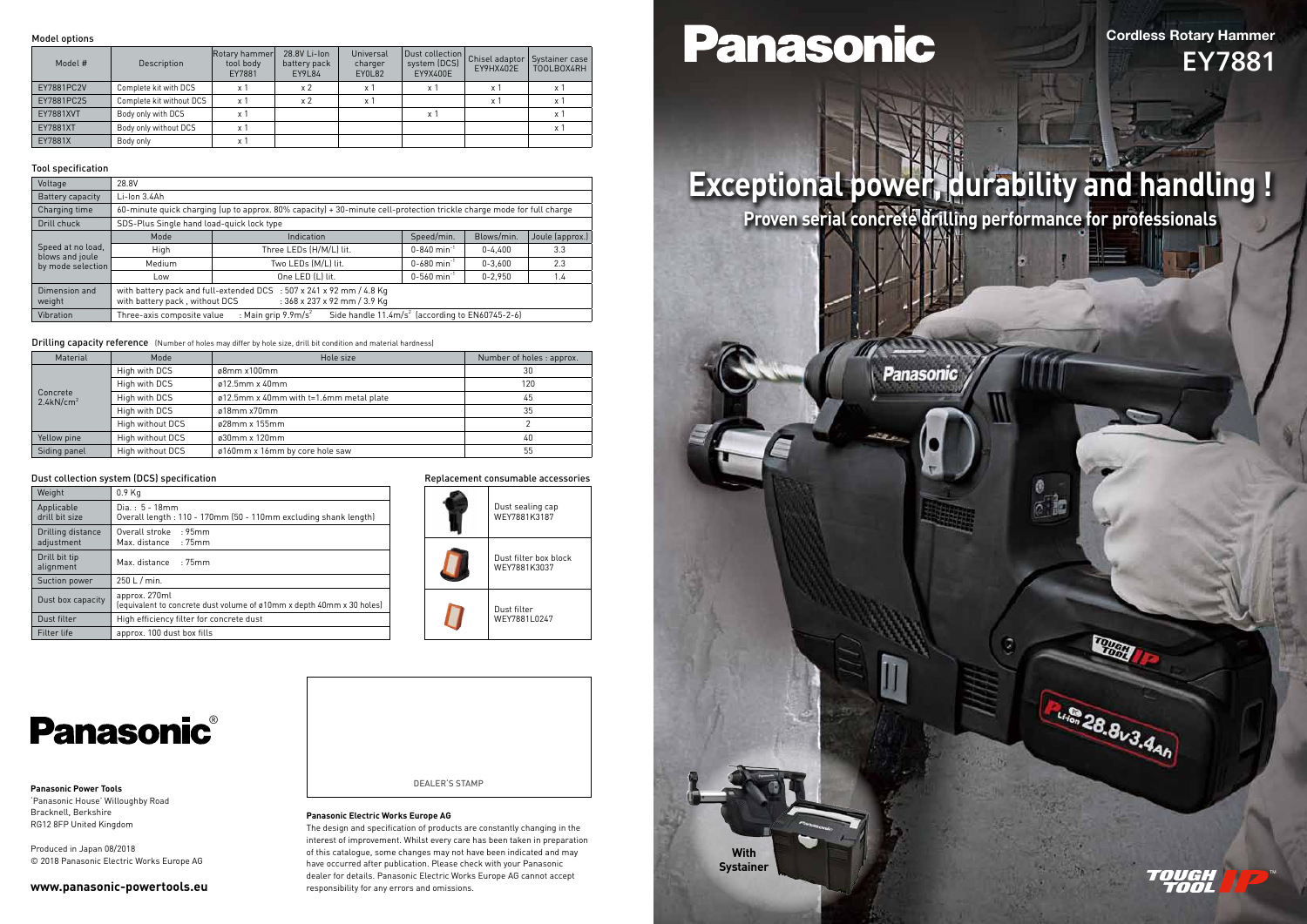#### Replacement consumable accessories



**Panasonic**®

## Cordless Rotary Hammer EY7881



Pulled 28.8v3.4AM

TM

## **Exceptional power, durability and handling ! Proven serial concrete drilling performance for professionals**

Panasonic

**With Systainer**

#### Model options

| Model #    | Description              | Rotary hammer<br>tool body<br>EY7881 | 28.8V Li-Ion<br>battery pack<br>EY9L84 | Universal<br>charger<br>EY0L82 | Dust collection<br>system (DCS)<br>EY9X400E | Chisel adaptor<br>EY9HX402E | Systainer case<br>TOOLBOX4RH |
|------------|--------------------------|--------------------------------------|----------------------------------------|--------------------------------|---------------------------------------------|-----------------------------|------------------------------|
| EY7881PC2V | Complete kit with DCS    | x 1                                  | x <sub>2</sub>                         | x 1                            | x 1                                         | x 1                         | x 1                          |
| EY7881PC2S | Complete kit without DCS | $\times$ 1                           | x <sub>2</sub>                         | $\times$ 1                     |                                             | $\times$ 1                  | x 1                          |
| EY7881XVT  | Body only with DCS       | x 1                                  |                                        |                                | x 1                                         |                             | x '                          |
| EY7881XT   | Body only without DCS    | x 1                                  |                                        |                                |                                             |                             | x '                          |
| EY7881X    | Body only                | x 1                                  |                                        |                                |                                             |                             |                              |

#### Tool specification

| Voltage                              | 28.8V                                                                                                                      |                                                                                                                    |                                            |             |                 |
|--------------------------------------|----------------------------------------------------------------------------------------------------------------------------|--------------------------------------------------------------------------------------------------------------------|--------------------------------------------|-------------|-----------------|
| Battery capacity                     | $Li$ -lon $3.4$ Ah                                                                                                         |                                                                                                                    |                                            |             |                 |
| Charging time                        | 60-minute quick charging (up to approx. 80% capacity) + 30-minute cell-protection trickle charge mode for full charge      |                                                                                                                    |                                            |             |                 |
| Drill chuck                          | SDS-Plus Single hand load-quick lock type                                                                                  |                                                                                                                    |                                            |             |                 |
|                                      | Mode                                                                                                                       | Indication                                                                                                         | Speed/min.                                 | Blows/min.  | Joule (approx.) |
| Speed at no load,                    | High                                                                                                                       | Three LEDs (H/M/L) lit.                                                                                            | $0 - 840$ min <sup>-1</sup><br>$0 - 4.400$ | 3.3         |                 |
| blows and joule<br>by mode selection | Medium                                                                                                                     | Two LEDs (M/L) lit.                                                                                                | $0 - 680$ min <sup>-1</sup>                | $0 - 3.600$ | 2.3             |
|                                      | Low                                                                                                                        | One LED (L) lit.                                                                                                   | $0 - 560$ min <sup>-1</sup>                | $0 - 2,950$ | 1.4             |
| Dimension and<br>weight              | with battery pack, without DCS                                                                                             | with battery pack and full-extended DCS : 507 x 241 x 92 mm / 4.8 Kg<br>$: 368 \times 237 \times 92$ mm $/ 3.9$ Kg |                                            |             |                 |
| Vibration                            | : Main grip $9.9 \text{m/s}^2$<br>Side handle $11.4 \text{m/s}^2$ (according to EN60745-2-6)<br>Three-axis composite value |                                                                                                                    |                                            |             |                 |

Drilling capacity reference (Number of holes may differ by hole size, drill bit condition and material hardness)

|  | Material                             | Mode                        | Hole size                               | Number of holes : approx. |
|--|--------------------------------------|-----------------------------|-----------------------------------------|---------------------------|
|  |                                      | High with DCS               | $\alpha$ 8mm x100mm                     | 30                        |
|  | High with DCS                        | $\varnothing$ 12.5mm x 40mm | 120                                     |                           |
|  | Concrete<br>$2.4$ kN/cm <sup>2</sup> | High with DCS               | ø12.5mm x 40mm with t=1.6mm metal plate | 45                        |
|  |                                      | High with DCS               | $\varnothing$ 18mm x70mm                | 35                        |
|  |                                      | High without DCS            | $\alpha$ 28mm x 155mm                   |                           |
|  | Yellow pine                          | High without DCS            | $\omega$ 30mm x 120mm                   | 40                        |
|  | Siding panel                         | High without DCS            | ø160mm x 16mm by core hole saw          | 55                        |

#### Dust collection system (DCS) specification

| Weight                                                                           | $0.9$ Kg                                                                               |
|----------------------------------------------------------------------------------|----------------------------------------------------------------------------------------|
| Applicable<br>drill bit size                                                     | $Dia. : 5 - 18mm$<br>Overall length: 110 - 170mm (50 - 110mm excluding shank length)   |
| Overall stroke : 95mm<br>Drilling distance<br>adjustment<br>Max. distance : 75mm |                                                                                        |
| Drill bit tip<br>alignment                                                       | Max. distance : 75mm                                                                   |
| Suction power                                                                    | 250 L / min.                                                                           |
| Dust box capacity                                                                | approx. 270ml<br>(equivalent to concrete dust volume of ø10mm x depth 40mm x 30 holes) |
| Dust filter<br>High efficiency filter for concrete dust                          |                                                                                        |
| Filter life                                                                      | approx. 100 dust box fills                                                             |

#### **Panasonic Power Tools**

'Panasonic House' Willoughby Road Bracknell, Berkshire RG12 8FP United Kingdom

Produced in Japan 08/2018 © 2018 Panasonic Electric Works Europe AG

#### **www.panasonic-powertools.eu**

#### **Panasonic Electric Works Europe AG**

The design and specification of products are constantly changing in the interest of improvement. Whilst every care has been taken in preparation of this catalogue, some changes may not have been indicated and may have occurred after publication. Please check with your Panasonic dealer for details. Panasonic Electric Works Europe AG cannot accept responsibility for any errors and omissions.

# Panasonic

#### DEALER'S STAMP